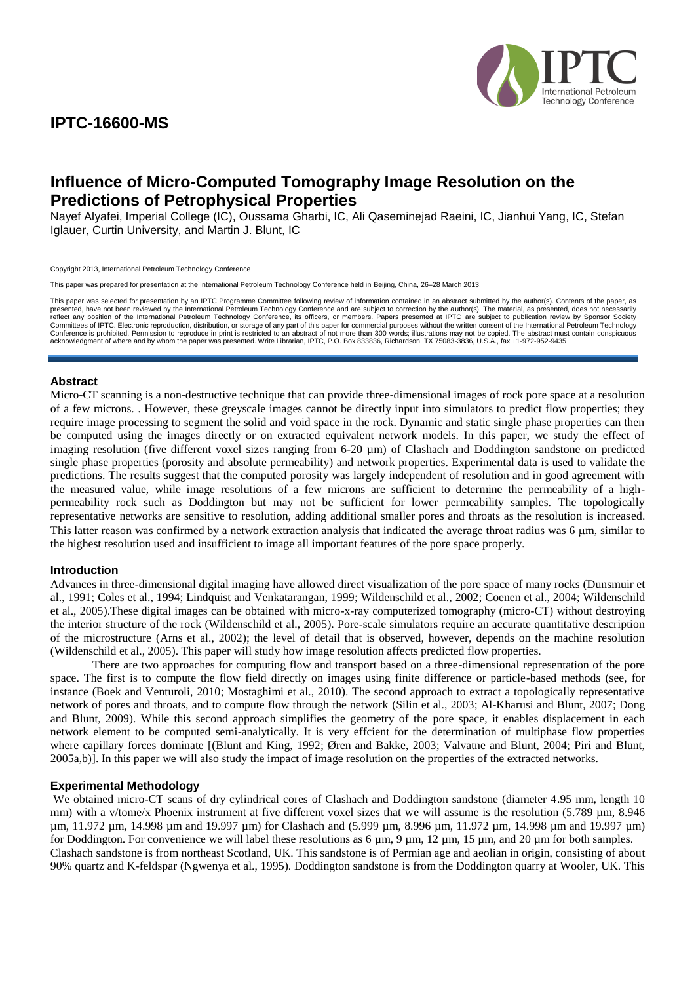# **IPTC-16600-MS**



# **Influence of Micro-Computed Tomography Image Resolution on the Predictions of Petrophysical Properties**

Nayef Alyafei, Imperial College (IC), Oussama Gharbi, IC, Ali Qaseminejad Raeini, IC, Jianhui Yang, IC, Stefan Iglauer, Curtin University, and Martin J. Blunt, IC

Copyright 2013, International Petroleum Technology Conference

This paper was prepared for presentation at the International Petroleum Technology Conference held in Beijing, China, 26–28 March 2013.

This paper was selected for presentation by an IPTC Programme Committee following review of information contained in an abstract submitted by the author(s). Contents of the paper, as presented, have not been reviewed by the International Petroleum Technology Conference and are subject to correction by the author(s). The material, as presented, does not necessarily<br>reflect any position of the Internatio Conference is prohibited. Permission to reproduce in print is restricted to an abstract of not more than 300 words; illustrations may not be copied. The abstract must contain conspicuous<br>acknowledgment of where and by whom

# **Abstract**

Micro-CT scanning is a non-destructive technique that can provide three-dimensional images of rock pore space at a resolution of a few microns. . However, these greyscale images cannot be directly input into simulators to predict flow properties; they require image processing to segment the solid and void space in the rock. Dynamic and static single phase properties can then be computed using the images directly or on extracted equivalent network models. In this paper, we study the effect of imaging resolution (five different voxel sizes ranging from 6-20  $\mu$ m) of Clashach and Doddington sandstone on predicted single phase properties (porosity and absolute permeability) and network properties. Experimental data is used to validate the predictions. The results suggest that the computed porosity was largely independent of resolution and in good agreement with the measured value, while image resolutions of a few microns are sufficient to determine the permeability of a highpermeability rock such as Doddington but may not be sufficient for lower permeability samples. The topologically representative networks are sensitive to resolution, adding additional smaller pores and throats as the resolution is increased. This latter reason was confirmed by a network extraction analysis that indicated the average throat radius was 6  $\mu$ m, similar to the highest resolution used and insufficient to image all important features of the pore space properly.

### **Introduction**

Advances in three-dimensional digital imaging have allowed direct visualization of the pore space of many rocks [\(Dunsmuir et](#page-6-0)  [al., 1991;](#page-6-0) [Coles et al., 1994;](#page-6-1) [Lindquist and Venkatarangan, 1999;](#page-6-2) [Wildenschild et al., 2002;](#page-7-0) [Coenen et al., 2004;](#page-6-3) [Wildenschild](#page-7-1)  [et al., 2005\)](#page-7-1).These digital images can be obtained with micro-x-ray computerized tomography (micro-CT) without destroying the interior structure of the rock [\(Wildenschild et al., 2005\)](#page-7-1). Pore-scale simulators require an accurate quantitative description of the microstructure [\(Arns et al., 2002\)](#page-6-4); the level of detail that is observed, however, depends on the machine resolution [\(Wildenschild et al., 2005\)](#page-7-1). This paper will study how image resolution affects predicted flow properties.

There are two approaches for computing flow and transport based on a three-dimensional representation of the pore space. The first is to compute the flow field directly on images using finite difference or particle-based methods (see, for instance [\(Boek and Venturoli, 2010;](#page-6-5) [Mostaghimi et al., 2010\)](#page-6-6). The second approach to extract a topologically representative network of pores and throats, and to compute flow through the network [\(Silin et al., 2003;](#page-7-2) [Al-Kharusi and Blunt, 2007;](#page-6-7) [Dong](#page-6-8)  [and Blunt, 2009\)](#page-6-8). While this second approach simplifies the geometry of the pore space, it enables displacement in each network element to be computed semi-analytically. It is very effcient for the determination of multiphase flow properties where capillary forces dominate [[\(Blunt and King, 1992;](#page-6-9) [Øren and Bakke, 2003;](#page-6-10) [Valvatne and Blunt, 2004;](#page-7-3) Piri and Blunt, [2005a](#page-7-4),b)]. In this paper we will also study the impact of image resolution on the properties of the extracted networks.

### **Experimental Methodology**

We obtained micro-CT scans of dry cylindrical cores of Clashach and Doddington sandstone (diameter 4.95 mm, length 10 mm) with a v/tome/x Phoenix instrument at five different voxel sizes that we will assume is the resolution (5.789 µm, 8.946 µm, 11.972 µm, 14.998 µm and 19.997 µm) for Clashach and (5.999 µm, 8.996 µm, 11.972 µm, 14.998 µm and 19.997 µm) for Doddington. For convenience we will label these resolutions as  $6 \mu m$ ,  $9 \mu m$ ,  $12 \mu m$ ,  $15 \mu m$ , and  $20 \mu m$  for both samples. Clashach sandstone is from northeast Scotland, UK. This sandstone is of Permian age and aeolian in origin, consisting of about 90% quartz and K-feldspar [\(Ngwenya et al., 1995\)](#page-6-11). Doddington sandstone is from the Doddington quarry at Wooler, UK. This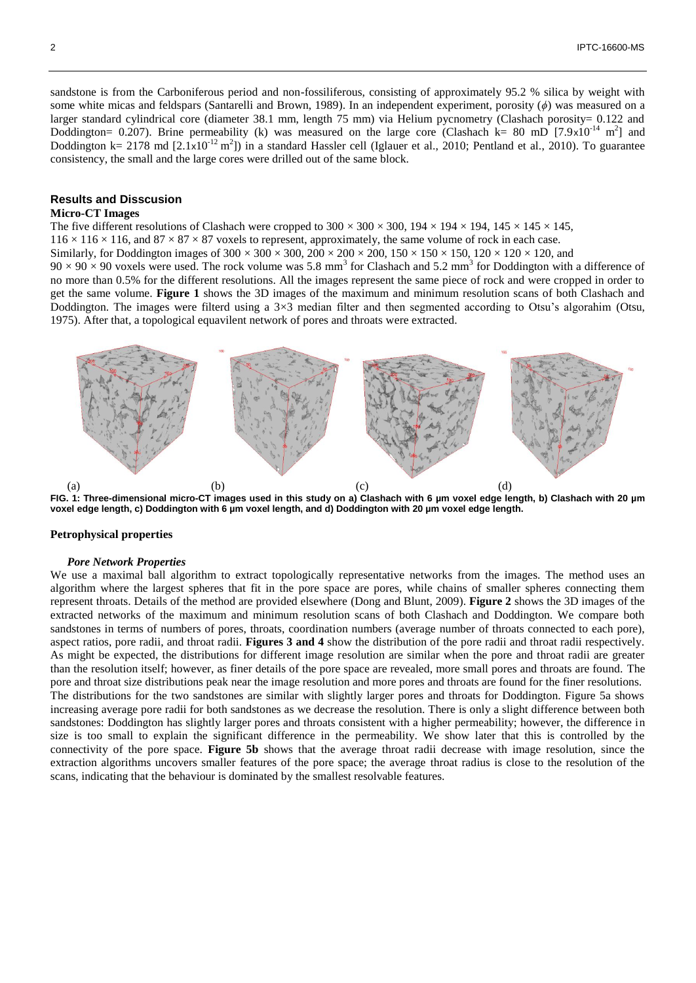sandstone is from the Carboniferous period and non-fossiliferous, consisting of approximately 95.2 % silica by weight with some white micas and feldspars [\(Santarelli and Brown, 1989\)](#page-7-5). In an independent experiment, porosity (*ϕ*) was measured on a larger standard cylindrical core (diameter 38.1 mm, length 75 mm) via Helium pycnometry (Clashach porosity= 0.122 and Doddington= 0.207). Brine permeability (k) was measured on the large core (Clashach k= 80 mD [7.9x10<sup>-14</sup> m<sup>2</sup>] and Doddington  $k = 2178$  md  $[2.1 \times 10^{-12} \text{ m}^2]$ ) in a standard Hassler cell [\(Iglauer et al., 2010;](#page-6-12) [Pentland et al.,](#page-6-13) 2010). To guarantee consistency, the small and the large cores were drilled out of the same block.

# **Results and Disscusion**

#### **Micro-CT Images**

The five different resolutions of Clashach were cropped to  $300 \times 300 \times 300$ ,  $194 \times 194 \times 194$ ,  $145 \times 145 \times 145$ ,  $116 \times 116 \times 116$ , and  $87 \times 87 \times 87$  voxels to represent, approximately, the same volume of rock in each case. Similarly, for Doddington images of  $300 \times 300 \times 300$ ,  $200 \times 200 \times 200$ ,  $150 \times 150 \times 150$ ,  $120 \times 120 \times 120$ , and  $90 \times 90 \times 90$  voxels were used. The rock volume was 5.8 mm<sup>3</sup> for Clashach and 5.2 mm<sup>3</sup> for Doddington with a difference of no more than 0.5% for the different resolutions. All the images represent the same piece of rock and were cropped in order to get the same volume. **Figure 1** shows the 3D images of the maximum and minimum resolution scans of both Clashach and Doddington. The images were filterd using a 3×3 median filter and then segmented according to Otsu's algorahim [\(Otsu,](#page-6-14) [1975\)](#page-6-14). After that, a topological equavilent network of pores and throats were extracted.



**FIG. 1: Three-dimensional micro-CT images used in this study on a) Clashach with 6 µm voxel edge length, b) Clashach with 20 µm voxel edge length, c) Doddington with 6 µm voxel length, and d) Doddington with 20 µm voxel edge length.**

#### **Petrophysical properties**

#### *Pore Network Properties*

We use a maximal ball algorithm to extract topologically representative networks from the images. The method uses an algorithm where the largest spheres that fit in the pore space are pores, while chains of smaller spheres connecting them represent throats. Details of the method are provided elsewhere [\(Dong and Blunt, 2009\)](#page-6-8). **Figure 2** shows the 3D images of the extracted networks of the maximum and minimum resolution scans of both Clashach and Doddington. We compare both sandstones in terms of numbers of pores, throats, coordination numbers (average number of throats connected to each pore), aspect ratios, pore radii, and throat radii. **Figures 3 and 4** show the distribution of the pore radii and throat radii respectively. As might be expected, the distributions for different image resolution are similar when the pore and throat radii are greater than the resolution itself; however, as finer details of the pore space are revealed, more small pores and throats are found. The pore and throat size distributions peak near the image resolution and more pores and throats are found for the finer resolutions. The distributions for the two sandstones are similar with slightly larger pores and throats for Doddington. Figure 5a shows increasing average pore radii for both sandstones as we decrease the resolution. There is only a slight difference between both sandstones: Doddington has slightly larger pores and throats consistent with a higher permeability; however, the difference in size is too small to explain the significant difference in the permeability. We show later that this is controlled by the connectivity of the pore space. **Figure 5b** shows that the average throat radii decrease with image resolution, since the extraction algorithms uncovers smaller features of the pore space; the average throat radius is close to the resolution of the scans, indicating that the behaviour is dominated by the smallest resolvable features.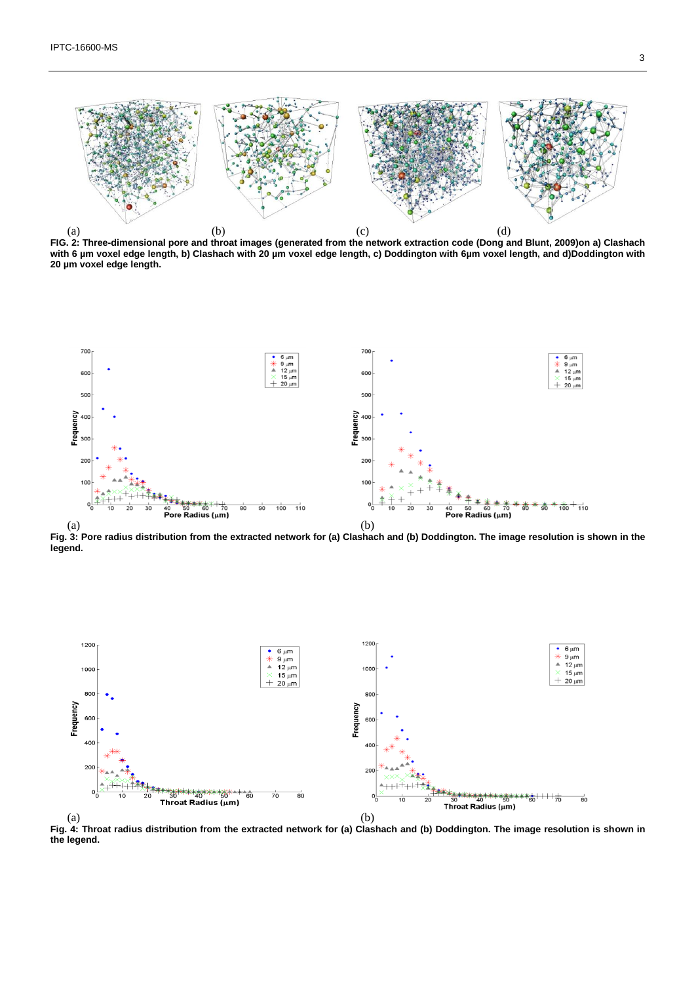

**FIG. 2: Three-dimensional pore and throat images (generated from the network extraction code [\(Dong and Blunt, 2009\)](#page-6-8)on a) Clashach with 6 µm voxel edge length, b) Clashach with 20 µm voxel edge length, c) Doddington with 6µm voxel length, and d)Doddington with 20 µm voxel edge length.**



**Fig. 3: Pore radius distribution from the extracted network for (a) Clashach and (b) Doddington. The image resolution is shown in the legend.**



**Fig. 4: Throat radius distribution from the extracted network for (a) Clashach and (b) Doddington. The image resolution is shown in the legend.**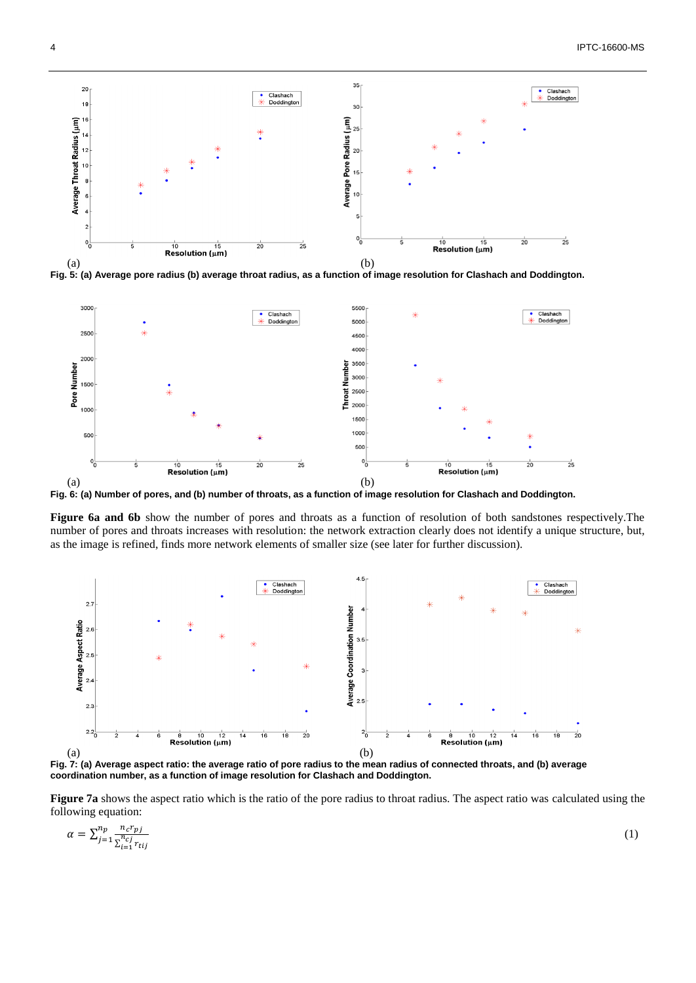

**Fig. 5: (a) Average pore radius (b) average throat radius, as a function of image resolution for Clashach and Doddington.**



**Fig. 6: (a) Number of pores, and (b) number of throats, as a function of image resolution for Clashach and Doddington.**

**Figure 6a and 6b** show the number of pores and throats as a function of resolution of both sandstones respectively.The number of pores and throats increases with resolution: the network extraction clearly does not identify a unique structure, but, as the image is refined, finds more network elements of smaller size (see later for further discussion).



**Fig. 7: (a) Average aspect ratio: the average ratio of pore radius to the mean radius of connected throats, and (b) average coordination number, as a function of image resolution for Clashach and Doddington.**

**Figure 7a** shows the aspect ratio which is the ratio of the pore radius to throat radius. The aspect ratio was calculated using the following equation:

$$
\alpha = \sum_{j=1}^{n_p} \frac{n_c r_{pj}}{\sum_{i=1}^{n_c} r_{tij}} \tag{1}
$$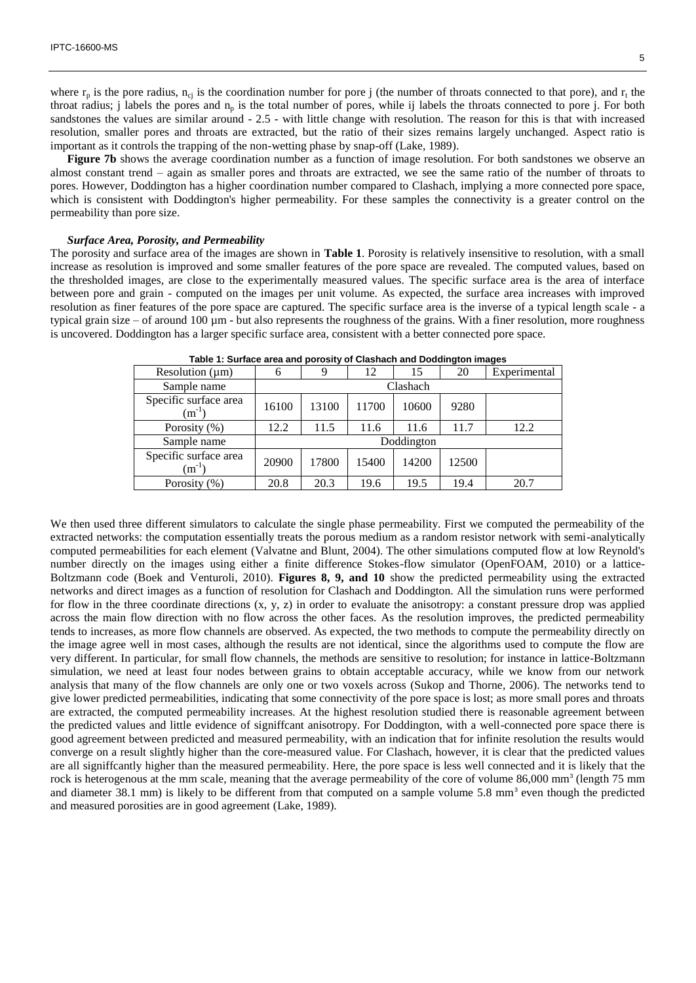where  $r_p$  is the pore radius,  $n_{cj}$  is the coordination number for pore j (the number of throats connected to that pore), and  $r_t$  the throat radius; j labels the pores and  $n<sub>p</sub>$  is the total number of pores, while ij labels the throats connected to pore j. For both sandstones the values are similar around - 2.5 - with little change with resolution. The reason for this is that with increased resolution, smaller pores and throats are extracted, but the ratio of their sizes remains largely unchanged. Aspect ratio is important as it controls the trapping of the non-wetting phase by snap-off [\(Lake, 1989\)](#page-6-15).

**Figure 7b** shows the average coordination number as a function of image resolution. For both sandstones we observe an almost constant trend – again as smaller pores and throats are extracted, we see the same ratio of the number of throats to pores. However, Doddington has a higher coordination number compared to Clashach, implying a more connected pore space, which is consistent with Doddington's higher permeability. For these samples the connectivity is a greater control on the permeability than pore size.

#### *Surface Area, Porosity, and Permeability*

The porosity and surface area of the images are shown in **Table 1**. Porosity is relatively insensitive to resolution, with a small increase as resolution is improved and some smaller features of the pore space are revealed. The computed values, based on the thresholded images, are close to the experimentally measured values. The specific surface area is the area of interface between pore and grain - computed on the images per unit volume. As expected, the surface area increases with improved resolution as finer features of the pore space are captured. The specific surface area is the inverse of a typical length scale - a typical grain size  $-$  of around 100  $\mu$ m - but also represents the roughness of the grains. With a finer resolution, more roughness is uncovered. Doddington has a larger specific surface area, consistent with a better connected pore space.

| Resolution $(\mu m)$                | 6          |       | 12    | 15    | 20    | Experimental |
|-------------------------------------|------------|-------|-------|-------|-------|--------------|
| Sample name                         | Clashach   |       |       |       |       |              |
| Specific surface area<br>$(m^{-1})$ | 16100      | 13100 | 11700 | 10600 | 9280  |              |
| Porosity (%)                        | 12.2       | 11.5  | 11.6  | 11.6  | 11.7  | 12.2         |
| Sample name                         | Doddington |       |       |       |       |              |
| Specific surface area<br>$(m^{-1})$ | 20900      | 17800 | 15400 | 14200 | 12500 |              |
| Porosity (%)                        | 20.8       | 20.3  | 19.6  | 19.5  | 19.4  | 20.7         |

**Table 1: Surface area and porosity of Clashach and Doddington images**

We then used three different simulators to calculate the single phase permeability. First we computed the permeability of the extracted networks: the computation essentially treats the porous medium as a random resistor network with semi-analytically computed permeabilities for each element [\(Valvatne and Blunt, 2004\)](#page-7-3). The other simulations computed flow at low Reynold's number directly on the images using either a finite difference Stokes-flow simulator [\(OpenFOAM,](#page-6-16) 2010) or a lattice-Boltzmann code [\(Boek and Venturoli,](#page-6-5) 2010). **Figures 8, 9, and 10** show the predicted permeability using the extracted networks and direct images as a function of resolution for Clashach and Doddington. All the simulation runs were performed for flow in the three coordinate directions (x, y, z) in order to evaluate the anisotropy: a constant pressure drop was applied across the main flow direction with no flow across the other faces. As the resolution improves, the predicted permeability tends to increases, as more flow channels are observed. As expected, the two methods to compute the permeability directly on the image agree well in most cases, although the results are not identical, since the algorithms used to compute the flow are very different. In particular, for small flow channels, the methods are sensitive to resolution; for instance in lattice-Boltzmann simulation, we need at least four nodes between grains to obtain acceptable accuracy, while we know from our network analysis that many of the flow channels are only one or two voxels across [\(Sukop and Thorne,](#page-7-6) 2006). The networks tend to give lower predicted permeabilities, indicating that some connectivity of the pore space is lost; as more small pores and throats are extracted, the computed permeability increases. At the highest resolution studied there is reasonable agreement between the predicted values and little evidence of signiffcant anisotropy. For Doddington, with a well-connected pore space there is good agreement between predicted and measured permeability, with an indication that for infinite resolution the results would converge on a result slightly higher than the core-measured value. For Clashach, however, it is clear that the predicted values are all signiffcantly higher than the measured permeability. Here, the pore space is less well connected and it is likely that the rock is heterogenous at the mm scale, meaning that the average permeability of the core of volume 86,000 mm<sup>3</sup> (length 75 mm and diameter  $38.1$  mm) is likely to be different from that computed on a sample volume  $5.8$  mm<sup>3</sup> even though the predicted and measured porosities are in good agreement [\(Lake,](#page-6-15) 1989).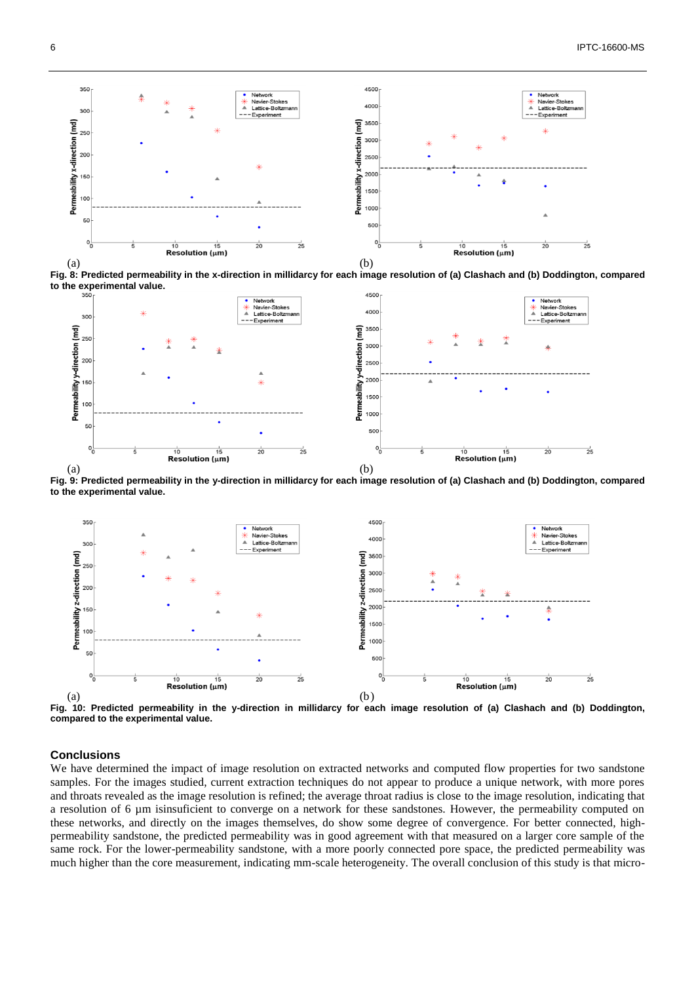

**Fig. 8: Predicted permeability in the x-direction in millidarcy for each image resolution of (a) Clashach and (b) Doddington, compared to the experimental value.**



**Fig. 9: Predicted permeability in the y-direction in millidarcy for each image resolution of (a) Clashach and (b) Doddington, compared to the experimental value.**



**Fig. 10: Predicted permeability in the y-direction in millidarcy for each image resolution of (a) Clashach and (b) Doddington, compared to the experimental value.**

#### **Conclusions**

We have determined the impact of image resolution on extracted networks and computed flow properties for two sandstone samples. For the images studied, current extraction techniques do not appear to produce a unique network, with more pores and throats revealed as the image resolution is refined; the average throat radius is close to the image resolution, indicating that a resolution of 6 µm isinsuficient to converge on a network for these sandstones. However, the permeability computed on these networks, and directly on the images themselves, do show some degree of convergence. For better connected, highpermeability sandstone, the predicted permeability was in good agreement with that measured on a larger core sample of the same rock. For the lower-permeability sandstone, with a more poorly connected pore space, the predicted permeability was much higher than the core measurement, indicating mm-scale heterogeneity. The overall conclusion of this study is that micro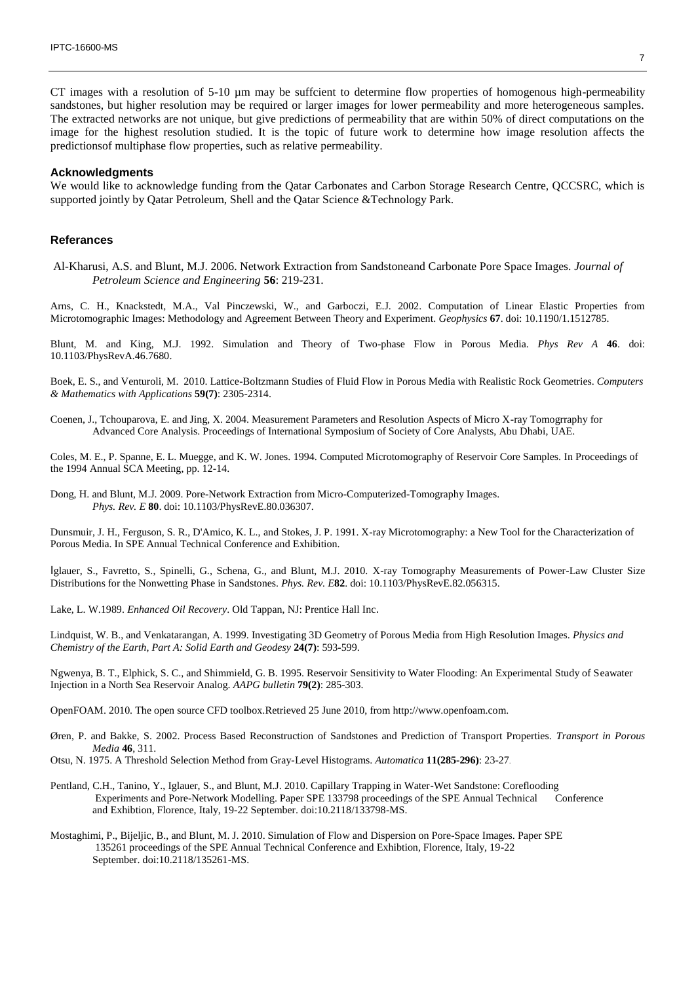CT images with a resolution of 5-10  $\mu$ m may be suffcient to determine flow properties of homogenous high-permeability sandstones, but higher resolution may be required or larger images for lower permeability and more heterogeneous samples. The extracted networks are not unique, but give predictions of permeability that are within 50% of direct computations on the image for the highest resolution studied. It is the topic of future work to determine how image resolution affects the predictionsof multiphase flow properties, such as relative permeability.

#### **Acknowledgments**

We would like to acknowledge funding from the Oatar Carbonates and Carbon Storage Research Centre, OCCSRC, which is supported jointly by Qatar Petroleum, Shell and the Qatar Science &Technology Park.

# **Referances**

<span id="page-6-7"></span>Al-Kharusi, A.S. and Blunt, M.J. 2006. Network Extraction from Sandstoneand Carbonate Pore Space Images. *Journal of Petroleum Science and Engineering* **56**: 219-231.

<span id="page-6-4"></span>Arns, C. H., Knackstedt, M.A., Val Pinczewski, W., and Garboczi, E.J. 2002. Computation of Linear Elastic Properties from Microtomographic Images: Methodology and Agreement Between Theory and Experiment. *Geophysics* **67**. doi: 10.1190/1.1512785.

<span id="page-6-9"></span>Blunt, M. and King, M.J. 1992. Simulation and Theory of Two-phase Flow in Porous Media. *Phys Rev A* **46**. doi: 10.1103/PhysRevA.46.7680.

<span id="page-6-5"></span>Boek, E. S., and Venturoli, M. 2010. Lattice-Boltzmann Studies of Fluid Flow in Porous Media with Realistic Rock Geometries. *Computers & Mathematics with Applications* **59(7)**: 2305-2314.

<span id="page-6-3"></span>Coenen, J., Tchouparova, E. and Jing, X. 2004. Measurement Parameters and Resolution Aspects of Micro X-ray Tomogrraphy for Advanced Core Analysis. Proceedings of International Symposium of Society of Core Analysts, Abu Dhabi, UAE.

<span id="page-6-1"></span>Coles, M. E., P. Spanne, E. L. Muegge, and K. W. Jones. 1994. Computed Microtomography of Reservoir Core Samples. In Proceedings of the 1994 Annual SCA Meeting, pp. 12-14.

<span id="page-6-8"></span>Dong, H. and Blunt, M.J. 2009. Pore-Network Extraction from Micro-Computerized-Tomography Images. *Phys. Rev. E* **80**. doi: 10.1103/PhysRevE.80.036307.

<span id="page-6-0"></span>Dunsmuir, J. H., Ferguson, S. R., D'Amico, K. L., and Stokes, J. P. 1991. X-ray Microtomography: a New Tool for the Characterization of Porous Media. In SPE Annual Technical Conference and Exhibition.

<span id="page-6-12"></span>Iglauer, S., Favretto, S., Spinelli, G., Schena, G., and Blunt, M.J. 2010. X-ray Tomography Measurements of Power-Law Cluster Size Distributions for the Nonwetting Phase in Sandstones. *Phys. Rev. E***82**. doi: 10.1103/PhysRevE.82.056315.

<span id="page-6-15"></span>Lake, L. W.1989. *Enhanced Oil Recovery*. Old Tappan, NJ: Prentice Hall Inc.

<span id="page-6-2"></span>Lindquist, W. B., and Venkatarangan, A. 1999. Investigating 3D Geometry of Porous Media from High Resolution Images. *Physics and Chemistry of the Earth, Part A: Solid Earth and Geodesy* **24(7)**: 593-599.

<span id="page-6-11"></span>Ngwenya, B. T., Elphick, S. C., and Shimmield, G. B. 1995. Reservoir Sensitivity to Water Flooding: An Experimental Study of Seawater Injection in a North Sea Reservoir Analog. *AAPG bulletin* **79(2)**: 285-303.

<span id="page-6-16"></span>OpenFOAM. 2010. The open source CFD toolbox.Retrieved 25 June 2010, fro[m http://www.openfoam.com.](http://www.openfoam.com/)

- <span id="page-6-10"></span>Øren, P. and Bakke, S. 2002. Process Based Reconstruction of Sandstones and Prediction of Transport Properties. *Transport in Porous Media* **46**, 311.
- <span id="page-6-14"></span>Otsu, N. 1975. A Threshold Selection Method from Gray-Level Histograms. *Automatica* **11(285-296)**: 23-27.
- <span id="page-6-13"></span>Pentland, C.H., Tanino, Y., Iglauer, S., and Blunt, M.J. 2010. Capillary Trapping in Water-Wet Sandstone: Coreflooding Experiments and Pore-Network Modelling. Paper SPE 133798 proceedings of the SPE Annual Technical Conference and Exhibtion, Florence, Italy, 19-22 September. doi:10.2118/133798-MS.
- <span id="page-6-6"></span>Mostaghimi, P., Bijeljic, B., and Blunt, M. J. 2010. Simulation of Flow and Dispersion on Pore-Space Images. Paper SPE 135261 proceedings of the SPE Annual Technical Conference and Exhibtion, Florence, Italy, 19-22 September. doi:10.2118/135261-MS.